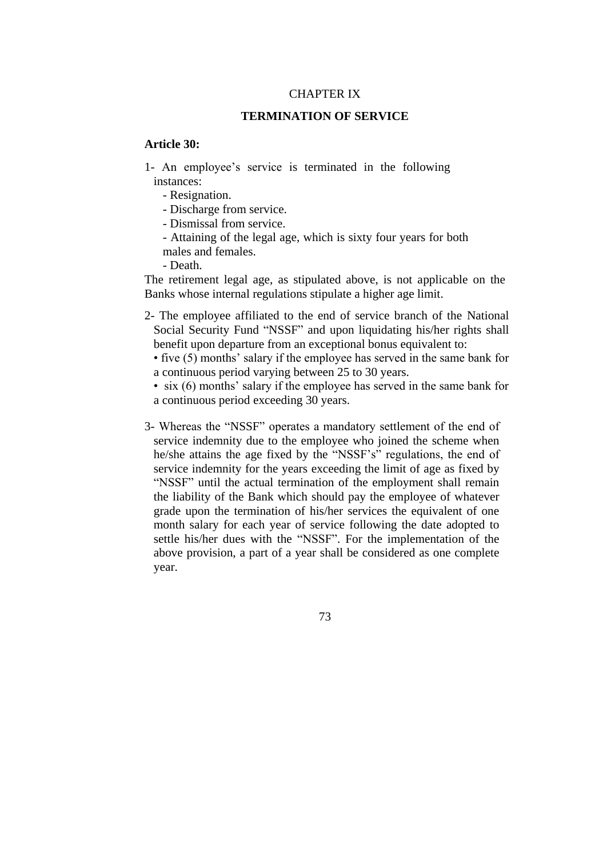#### CHAPTER IX

#### **TERMINATION OF SERVICE**

### **Article 30:**

- 1- An employee's service is terminated in the following instances:
	- Resignation.
	- Discharge from service.
	- Dismissal from service.
	- Attaining of the legal age, which is sixty four years for both males and females.
	- Death.

The retirement legal age, as stipulated above, is not applicable on the Banks whose internal regulations stipulate a higher age limit.

2- The employee affiliated to the end of service branch of the National Social Security Fund "NSSF" and upon liquidating his/her rights shall benefit upon departure from an exceptional bonus equivalent to:

 • five (5) months' salary if the employee has served in the same bank for a continuous period varying between 25 to 30 years.

• six (6) months' salary if the employee has served in the same bank for a continuous period exceeding 30 years.

3- Whereas the "NSSF" operates a mandatory settlement of the end of service indemnity due to the employee who joined the scheme when he/she attains the age fixed by the "NSSF's" regulations, the end of service indemnity for the years exceeding the limit of age as fixed by "NSSF" until the actual termination of the employment shall remain the liability of the Bank which should pay the employee of whatever grade upon the termination of his/her services the equivalent of one month salary for each year of service following the date adopted to settle his/her dues with the "NSSF". For the implementation of the above provision, a part of a year shall be considered as one complete year.

73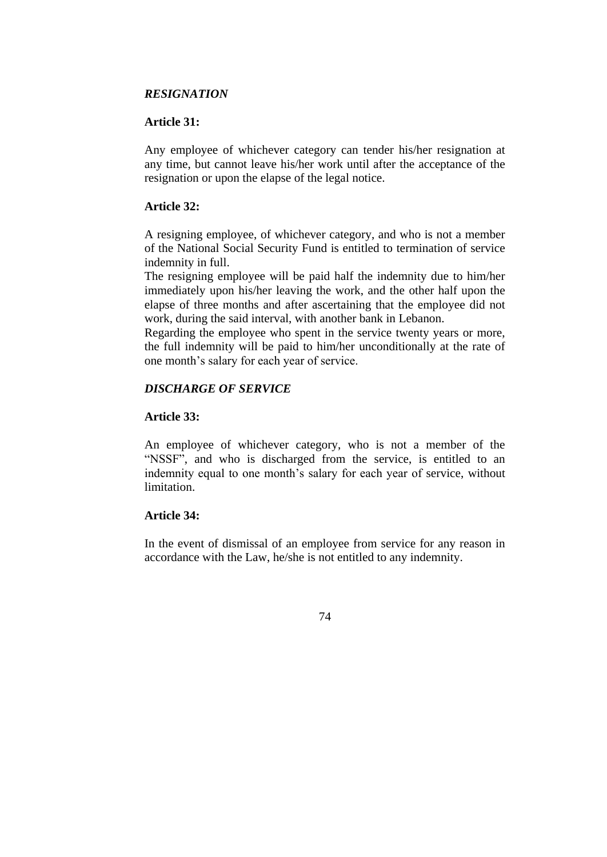## *RESIGNATION*

# **Article 31:**

Any employee of whichever category can tender his/her resignation at any time, but cannot leave his/her work until after the acceptance of the resignation or upon the elapse of the legal notice.

# **Article 32:**

A resigning employee, of whichever category, and who is not a member of the National Social Security Fund is entitled to termination of service indemnity in full.

The resigning employee will be paid half the indemnity due to him/her immediately upon his/her leaving the work, and the other half upon the elapse of three months and after ascertaining that the employee did not work, during the said interval, with another bank in Lebanon.

Regarding the employee who spent in the service twenty years or more, the full indemnity will be paid to him/her unconditionally at the rate of one month's salary for each year of service.

# *DISCHARGE OF SERVICE*

# **Article 33:**

An employee of whichever category, who is not a member of the "NSSF", and who is discharged from the service, is entitled to an indemnity equal to one month's salary for each year of service, without limitation.

## **Article 34:**

In the event of dismissal of an employee from service for any reason in accordance with the Law, he/she is not entitled to any indemnity.

74